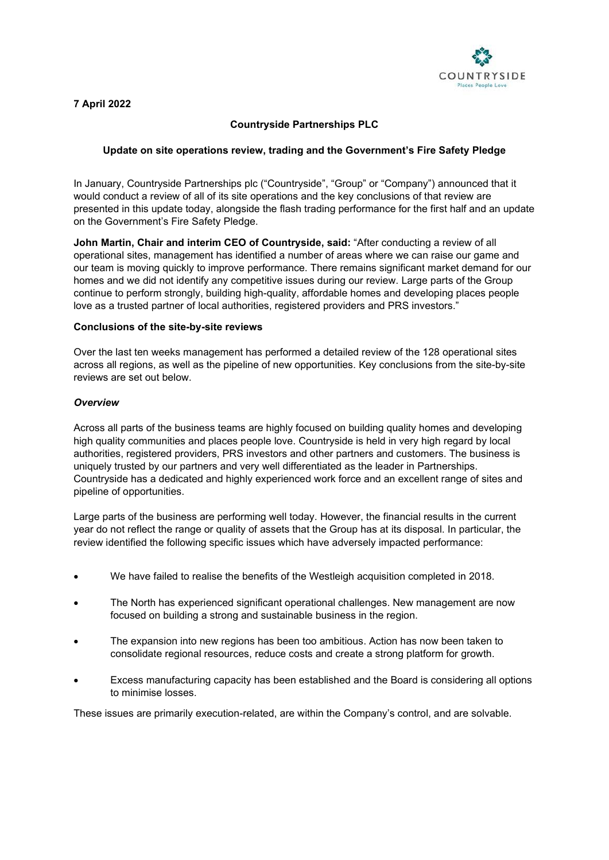

## **7 April 2022**

# **Countryside Partnerships PLC**

## **Update on site operations review, trading and the Government's Fire Safety Pledge**

In January, Countryside Partnerships plc ("Countryside", "Group" or "Company") announced that it would conduct a review of all of its site operations and the key conclusions of that review are presented in this update today, alongside the flash trading performance for the first half and an update on the Government's Fire Safety Pledge.

**John Martin, Chair and interim CEO of Countryside, said:** "After conducting a review of all operational sites, management has identified a number of areas where we can raise our game and our team is moving quickly to improve performance. There remains significant market demand for our homes and we did not identify any competitive issues during our review. Large parts of the Group continue to perform strongly, building high-quality, affordable homes and developing places people love as a trusted partner of local authorities, registered providers and PRS investors."

#### **Conclusions of the site-by-site reviews**

Over the last ten weeks management has performed a detailed review of the 128 operational sites across all regions, as well as the pipeline of new opportunities. Key conclusions from the site-by-site reviews are set out below.

### *Overview*

Across all parts of the business teams are highly focused on building quality homes and developing high quality communities and places people love. Countryside is held in very high regard by local authorities, registered providers, PRS investors and other partners and customers. The business is uniquely trusted by our partners and very well differentiated as the leader in Partnerships. Countryside has a dedicated and highly experienced work force and an excellent range of sites and pipeline of opportunities.

Large parts of the business are performing well today. However, the financial results in the current year do not reflect the range or quality of assets that the Group has at its disposal. In particular, the review identified the following specific issues which have adversely impacted performance:

- We have failed to realise the benefits of the Westleigh acquisition completed in 2018.
- The North has experienced significant operational challenges. New management are now focused on building a strong and sustainable business in the region.
- The expansion into new regions has been too ambitious. Action has now been taken to consolidate regional resources, reduce costs and create a strong platform for growth.
- Excess manufacturing capacity has been established and the Board is considering all options to minimise losses.

These issues are primarily execution-related, are within the Company's control, and are solvable.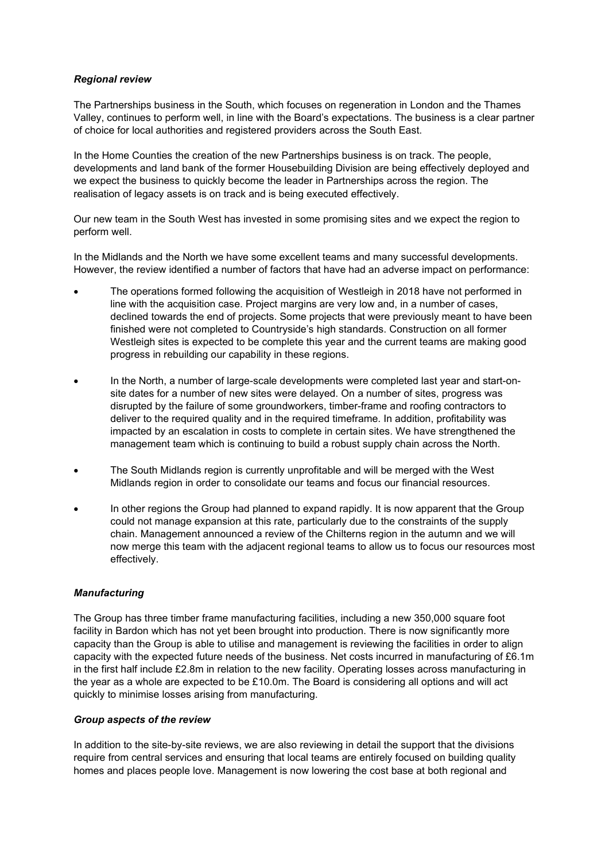## *Regional review*

The Partnerships business in the South, which focuses on regeneration in London and the Thames Valley, continues to perform well, in line with the Board's expectations. The business is a clear partner of choice for local authorities and registered providers across the South East.

In the Home Counties the creation of the new Partnerships business is on track. The people, developments and land bank of the former Housebuilding Division are being effectively deployed and we expect the business to quickly become the leader in Partnerships across the region. The realisation of legacy assets is on track and is being executed effectively.

Our new team in the South West has invested in some promising sites and we expect the region to perform well.

In the Midlands and the North we have some excellent teams and many successful developments. However, the review identified a number of factors that have had an adverse impact on performance:

- The operations formed following the acquisition of Westleigh in 2018 have not performed in line with the acquisition case. Project margins are very low and, in a number of cases, declined towards the end of projects. Some projects that were previously meant to have been finished were not completed to Countryside's high standards. Construction on all former Westleigh sites is expected to be complete this year and the current teams are making good progress in rebuilding our capability in these regions.
- In the North, a number of large-scale developments were completed last year and start-onsite dates for a number of new sites were delayed. On a number of sites, progress was disrupted by the failure of some groundworkers, timber-frame and roofing contractors to deliver to the required quality and in the required timeframe. In addition, profitability was impacted by an escalation in costs to complete in certain sites. We have strengthened the management team which is continuing to build a robust supply chain across the North.
- The South Midlands region is currently unprofitable and will be merged with the West Midlands region in order to consolidate our teams and focus our financial resources.
- In other regions the Group had planned to expand rapidly. It is now apparent that the Group could not manage expansion at this rate, particularly due to the constraints of the supply chain. Management announced a review of the Chilterns region in the autumn and we will now merge this team with the adjacent regional teams to allow us to focus our resources most effectively.

## *Manufacturing*

The Group has three timber frame manufacturing facilities, including a new 350,000 square foot facility in Bardon which has not yet been brought into production. There is now significantly more capacity than the Group is able to utilise and management is reviewing the facilities in order to align capacity with the expected future needs of the business. Net costs incurred in manufacturing of £6.1m in the first half include £2.8m in relation to the new facility. Operating losses across manufacturing in the year as a whole are expected to be £10.0m. The Board is considering all options and will act quickly to minimise losses arising from manufacturing.

## *Group aspects of the review*

In addition to the site-by-site reviews, we are also reviewing in detail the support that the divisions require from central services and ensuring that local teams are entirely focused on building quality homes and places people love. Management is now lowering the cost base at both regional and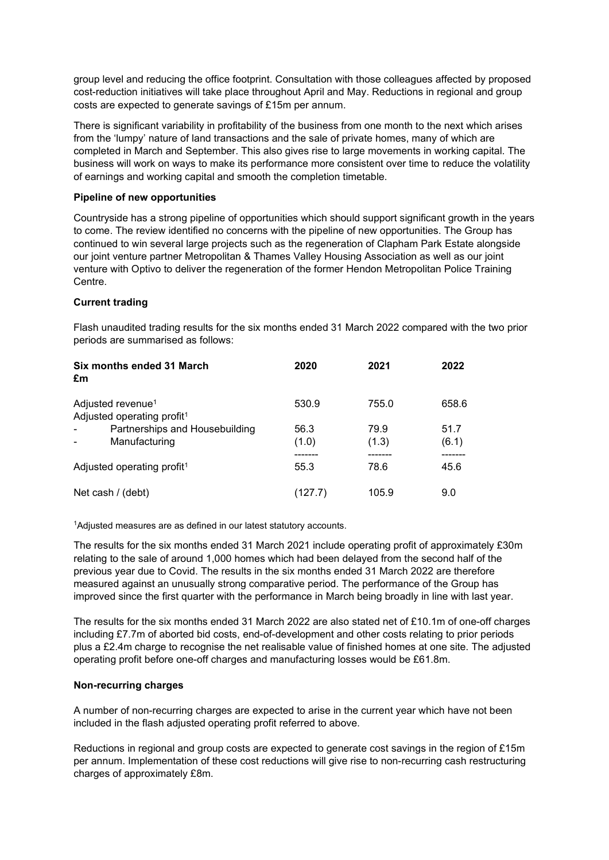group level and reducing the office footprint. Consultation with those colleagues affected by proposed cost-reduction initiatives will take place throughout April and May. Reductions in regional and group costs are expected to generate savings of £15m per annum.

There is significant variability in profitability of the business from one month to the next which arises from the 'lumpy' nature of land transactions and the sale of private homes, many of which are completed in March and September. This also gives rise to large movements in working capital. The business will work on ways to make its performance more consistent over time to reduce the volatility of earnings and working capital and smooth the completion timetable.

### **Pipeline of new opportunities**

Countryside has a strong pipeline of opportunities which should support significant growth in the years to come. The review identified no concerns with the pipeline of new opportunities. The Group has continued to win several large projects such as the regeneration of Clapham Park Estate alongside our joint venture partner Metropolitan & Thames Valley Housing Association as well as our joint venture with Optivo to deliver the regeneration of the former Hendon Metropolitan Police Training Centre.

### **Current trading**

Flash unaudited trading results for the six months ended 31 March 2022 compared with the two prior periods are summarised as follows:

| Six months ended 31 March<br>£m                                         | 2020          | 2021          | 2022          |
|-------------------------------------------------------------------------|---------------|---------------|---------------|
| Adjusted revenue <sup>1</sup><br>Adjusted operating profit <sup>1</sup> | 530.9         | 755.0         | 658.6         |
| Partnerships and Housebuilding<br>Manufacturing                         | 56.3<br>(1.0) | 79.9<br>(1.3) | 51.7<br>(6.1) |
| Adjusted operating profit <sup>1</sup>                                  | 55.3          | 78.6          | 45.6          |
| Net cash / (debt)                                                       | (127.7)       | 105.9         | 9.0           |

1Adjusted measures are as defined in our latest statutory accounts.

The results for the six months ended 31 March 2021 include operating profit of approximately £30m relating to the sale of around 1,000 homes which had been delayed from the second half of the previous year due to Covid. The results in the six months ended 31 March 2022 are therefore measured against an unusually strong comparative period. The performance of the Group has improved since the first quarter with the performance in March being broadly in line with last year.

The results for the six months ended 31 March 2022 are also stated net of £10.1m of one-off charges including £7.7m of aborted bid costs, end-of-development and other costs relating to prior periods plus a £2.4m charge to recognise the net realisable value of finished homes at one site. The adjusted operating profit before one-off charges and manufacturing losses would be £61.8m.

#### **Non-recurring charges**

A number of non-recurring charges are expected to arise in the current year which have not been included in the flash adjusted operating profit referred to above.

Reductions in regional and group costs are expected to generate cost savings in the region of £15m per annum. Implementation of these cost reductions will give rise to non-recurring cash restructuring charges of approximately £8m.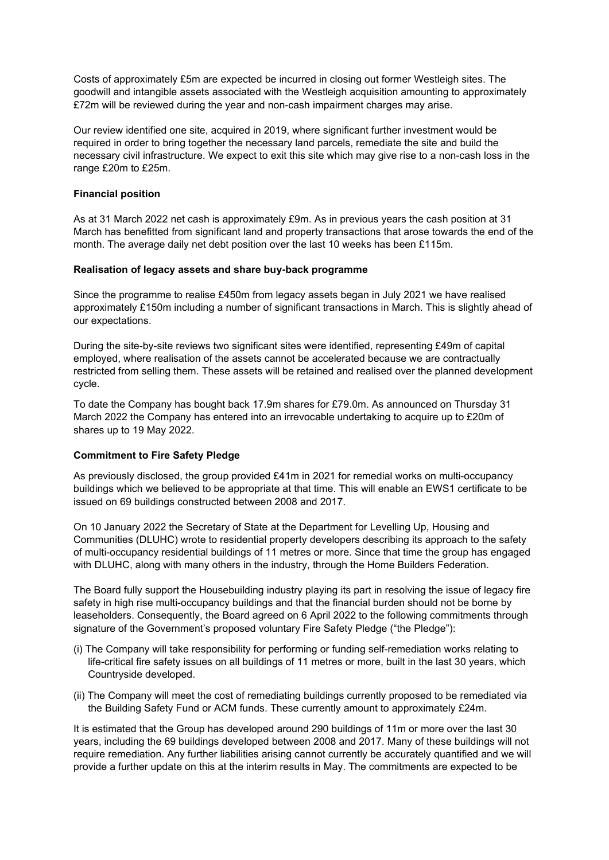Costs of approximately £5m are expected be incurred in closing out former Westleigh sites. The goodwill and intangible assets associated with the Westleigh acquisition amounting to approximately £72m will be reviewed during the year and non-cash impairment charges may arise.

Our review identified one site, acquired in 2019, where significant further investment would be required in order to bring together the necessary land parcels, remediate the site and build the necessary civil infrastructure. We expect to exit this site which may give rise to a non-cash loss in the range £20m to £25m.

### **Financial position**

As at 31 March 2022 net cash is approximately £9m. As in previous years the cash position at 31 March has benefitted from significant land and property transactions that arose towards the end of the month. The average daily net debt position over the last 10 weeks has been £115m.

### **Realisation of legacy assets and share buy-back programme**

Since the programme to realise £450m from legacy assets began in July 2021 we have realised approximately £150m including a number of significant transactions in March. This is slightly ahead of our expectations.

During the site-by-site reviews two significant sites were identified, representing £49m of capital employed, where realisation of the assets cannot be accelerated because we are contractually restricted from selling them. These assets will be retained and realised over the planned development cycle.

To date the Company has bought back 17.9m shares for £79.0m. As announced on Thursday 31 March 2022 the Company has entered into an irrevocable undertaking to acquire up to £20m of shares up to 19 May 2022.

## **Commitment to Fire Safety Pledge**

As previously disclosed, the group provided £41m in 2021 for remedial works on multi-occupancy buildings which we believed to be appropriate at that time. This will enable an EWS1 certificate to be issued on 69 buildings constructed between 2008 and 2017.

On 10 January 2022 the Secretary of State at the Department for Levelling Up, Housing and Communities (DLUHC) wrote to residential property developers describing its approach to the safety of multi-occupancy residential buildings of 11 metres or more. Since that time the group has engaged with DLUHC, along with many others in the industry, through the Home Builders Federation.

The Board fully support the Housebuilding industry playing its part in resolving the issue of legacy fire safety in high rise multi-occupancy buildings and that the financial burden should not be borne by leaseholders. Consequently, the Board agreed on 6 April 2022 to the following commitments through signature of the Government's proposed voluntary Fire Safety Pledge ("the Pledge"):

- (i) The Company will take responsibility for performing or funding self-remediation works relating to life-critical fire safety issues on all buildings of 11 metres or more, built in the last 30 years, which Countryside developed.
- (ii) The Company will meet the cost of remediating buildings currently proposed to be remediated via the Building Safety Fund or ACM funds. These currently amount to approximately £24m.

It is estimated that the Group has developed around 290 buildings of 11m or more over the last 30 years, including the 69 buildings developed between 2008 and 2017. Many of these buildings will not require remediation. Any further liabilities arising cannot currently be accurately quantified and we will provide a further update on this at the interim results in May. The commitments are expected to be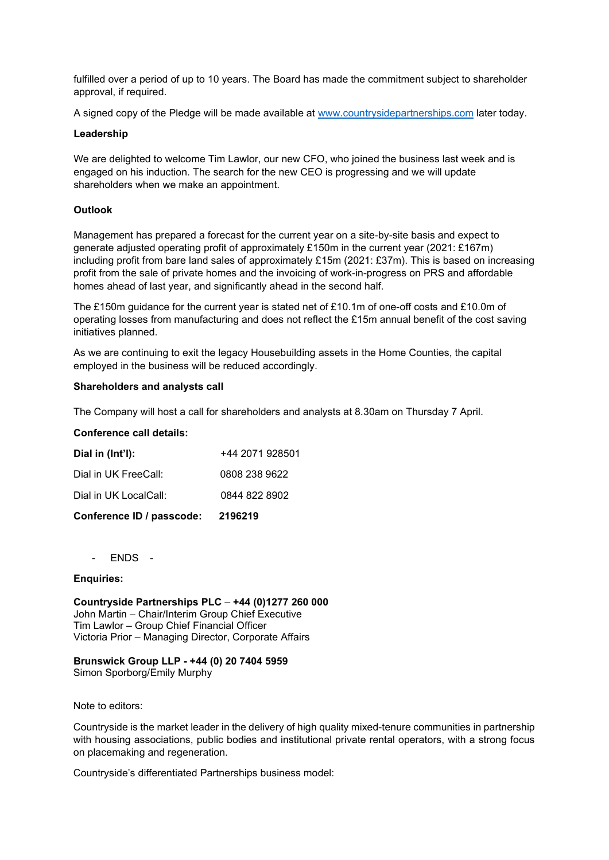fulfilled over a period of up to 10 years. The Board has made the commitment subject to shareholder approval, if required.

A signed copy of the Pledge will be made available at [www.countrysidepartnerships.com](http://www.countrysidepartnerships.com/) later today.

#### **Leadership**

We are delighted to welcome Tim Lawlor, our new CFO, who joined the business last week and is engaged on his induction. The search for the new CEO is progressing and we will update shareholders when we make an appointment.

### **Outlook**

Management has prepared a forecast for the current year on a site-by-site basis and expect to generate adjusted operating profit of approximately £150m in the current year (2021: £167m) including profit from bare land sales of approximately £15m (2021: £37m). This is based on increasing profit from the sale of private homes and the invoicing of work-in-progress on PRS and affordable homes ahead of last year, and significantly ahead in the second half.

The £150m guidance for the current year is stated net of £10.1m of one-off costs and £10.0m of operating losses from manufacturing and does not reflect the £15m annual benefit of the cost saving initiatives planned.

As we are continuing to exit the legacy Housebuilding assets in the Home Counties, the capital employed in the business will be reduced accordingly.

#### **Shareholders and analysts call**

The Company will host a call for shareholders and analysts at 8.30am on Thursday 7 April.

#### **Conference call details:**

| Conference ID / passcode: | 2196219         |
|---------------------------|-----------------|
| Dial in UK LocalCall:     | 0844 822 8902   |
| Dial in UK FreeCall:      | 0808 238 9622   |
| Dial in (Int'l):          | +44 2071 928501 |

- ENDS -

### **Enquiries:**

**Countryside Partnerships PLC** – **+44 (0)1277 260 000** John Martin – Chair/Interim Group Chief Executive Tim Lawlor – Group Chief Financial Officer Victoria Prior – Managing Director, Corporate Affairs

## **Brunswick Group LLP - +44 (0) 20 7404 5959**

Simon Sporborg/Emily Murphy

Note to editors:

Countryside is the market leader in the delivery of high quality mixed-tenure communities in partnership with housing associations, public bodies and institutional private rental operators, with a strong focus on placemaking and regeneration.

Countryside's differentiated Partnerships business model: